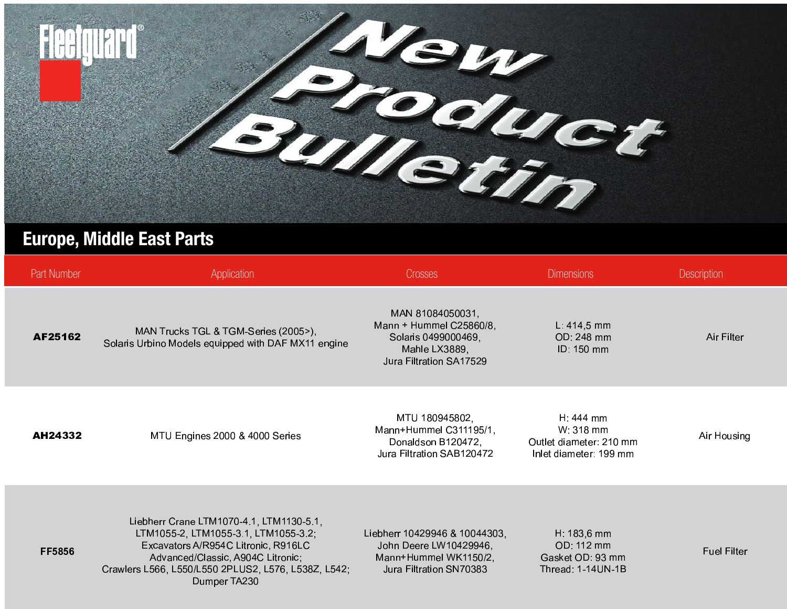

## **Europe, Middle East Parts**

| <b>Part Number</b> | Application                                                                                                                                                                                                                         | <b>Crosses</b>                                                                                                 | <b>Dimensions</b>                                                             | <b>Description</b> |
|--------------------|-------------------------------------------------------------------------------------------------------------------------------------------------------------------------------------------------------------------------------------|----------------------------------------------------------------------------------------------------------------|-------------------------------------------------------------------------------|--------------------|
| AF25162            | MAN Trucks TGL & TGM-Series (2005>),<br>Solaris Urbino Models equipped with DAF MX11 engine                                                                                                                                         | MAN 81084050031,<br>Mann + Hummel C25860/8,<br>Solaris 0499000469,<br>Mahle LX3889,<br>Jura Filtration SA17529 | $L: 414, 5$ mm<br>OD: 248 mm<br>ID: 150 mm                                    | Air Filter         |
| AH24332            | MTU Engines 2000 & 4000 Series                                                                                                                                                                                                      | MTU 180945802,<br>Mann+Hummel C311195/1,<br>Donaldson B120472,<br>Jura Filtration SAB120472                    | $H: 444$ mm<br>W: 318 mm<br>Outlet diameter: 210 mm<br>Inlet diameter: 199 mm | Air Housing        |
| <b>FF5856</b>      | Liebherr Crane LTM1070-4.1, LTM1130-5.1,<br>LTM1055-2, LTM1055-3.1, LTM1055-3.2;<br>Excavators A/R954C Litronic, R916LC<br>Advanced/Classic, A904C Litronic;<br>Crawlers L566, L550/L550 2PLUS2, L576, L538Z, L542;<br>Dumper TA230 | Liebherr 10429946 & 10044303,<br>John Deere LW10429946,<br>Mann+Hummel WK1150/2,<br>Jura Filtration SN70383    | $H: 183, 6$ mm<br>OD: 112 mm<br>Gasket OD: 93 mm<br>Thread: 1-14 UN-1B        | <b>Fuel Filter</b> |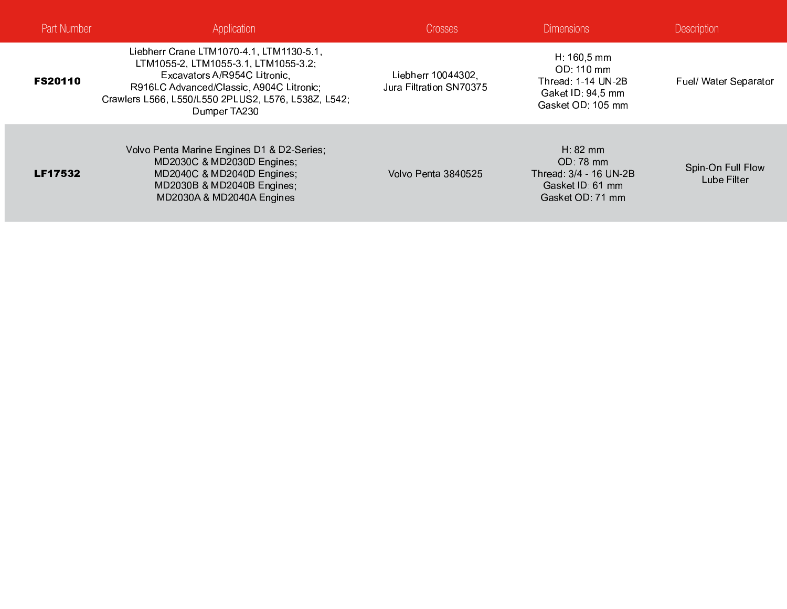| <b>Part Number</b> | <b>Application</b>                                                                                                                                                                                                                  | Crosses                                       | <b>Dimensions</b>                                                                                      | <b>Description</b>               |
|--------------------|-------------------------------------------------------------------------------------------------------------------------------------------------------------------------------------------------------------------------------------|-----------------------------------------------|--------------------------------------------------------------------------------------------------------|----------------------------------|
| <b>FS20110</b>     | Liebherr Crane LTM1070-4.1, LTM1130-5.1,<br>LTM1055-2, LTM1055-3.1, LTM1055-3.2;<br>Excavators A/R954C Litronic.<br>R916LC Advanced/Classic, A904C Litronic;<br>Crawlers L566, L550/L550 2PLUS2, L576, L538Z, L542;<br>Dumper TA230 | Liebherr 10044302,<br>Jura Filtration SN70375 | $H: 160, 5 \, \text{mm}$<br>OD: 110 mm<br>Thread: 1-14 UN-2B<br>Gaket ID: 94,5 mm<br>Gasket OD: 105 mm | <b>Fuel/ Water Separator</b>     |
| <b>LF17532</b>     | Volvo Penta Marine Engines D1 & D2-Series;<br>MD2030C & MD2030D Engines;<br>MD2040C & MD2040D Engines;<br>MD2030B & MD2040B Engines,<br>MD2030A & MD2040A Engines                                                                   | Volvo Penta 3840525                           | H: $82 \text{ mm}$<br>OD: 78 mm<br>Thread: 3/4 - 16 UN-2B<br>Gasket ID: 61 mm<br>Gasket OD: 71 mm      | Spin-On Full Flow<br>Lube Filter |